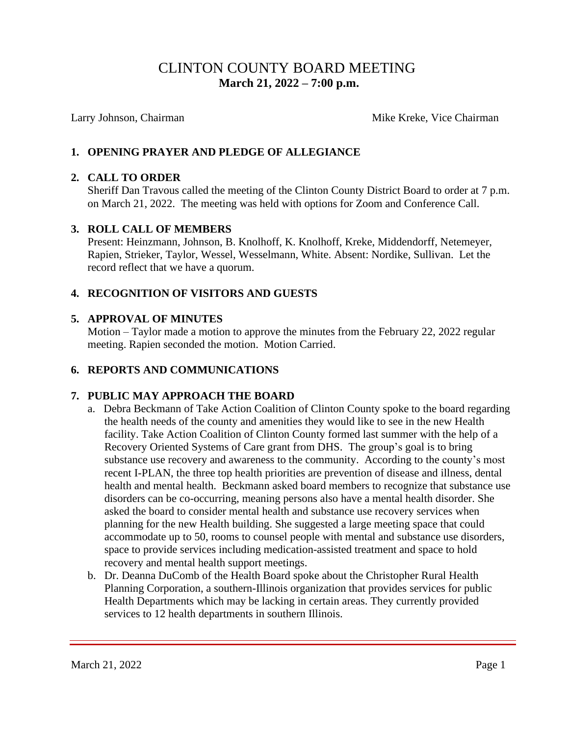# CLINTON COUNTY BOARD MEETING  **March 21, 2022 – 7:00 p.m.**

Larry Johnson, Chairman Mike Kreke, Vice Chairman Mike Kreke, Vice Chairman

### **1. OPENING PRAYER AND PLEDGE OF ALLEGIANCE**

#### **2. CALL TO ORDER**

Sheriff Dan Travous called the meeting of the Clinton County District Board to order at 7 p.m. on March 21, 2022. The meeting was held with options for Zoom and Conference Call.

#### **3. ROLL CALL OF MEMBERS**

Present: Heinzmann, Johnson, B. Knolhoff, K. Knolhoff, Kreke, Middendorff, Netemeyer, Rapien, Strieker, Taylor, Wessel, Wesselmann, White. Absent: Nordike, Sullivan. Let the record reflect that we have a quorum.

#### **4. RECOGNITION OF VISITORS AND GUESTS**

#### **5. APPROVAL OF MINUTES**

Motion – Taylor made a motion to approve the minutes from the February 22, 2022 regular meeting. Rapien seconded the motion. Motion Carried.

#### **6. REPORTS AND COMMUNICATIONS**

#### **7. PUBLIC MAY APPROACH THE BOARD**

- a. Debra Beckmann of Take Action Coalition of Clinton County spoke to the board regarding the health needs of the county and amenities they would like to see in the new Health facility. Take Action Coalition of Clinton County formed last summer with the help of a Recovery Oriented Systems of Care grant from DHS. The group's goal is to bring substance use recovery and awareness to the community. According to the county's most recent I-PLAN, the three top health priorities are prevention of disease and illness, dental health and mental health. Beckmann asked board members to recognize that substance use disorders can be co-occurring, meaning persons also have a mental health disorder. She asked the board to consider mental health and substance use recovery services when planning for the new Health building. She suggested a large meeting space that could accommodate up to 50, rooms to counsel people with mental and substance use disorders, space to provide services including medication-assisted treatment and space to hold recovery and mental health support meetings.
- b. Dr. Deanna DuComb of the Health Board spoke about the Christopher Rural Health Planning Corporation, a southern-Illinois organization that provides services for public Health Departments which may be lacking in certain areas. They currently provided services to 12 health departments in southern Illinois.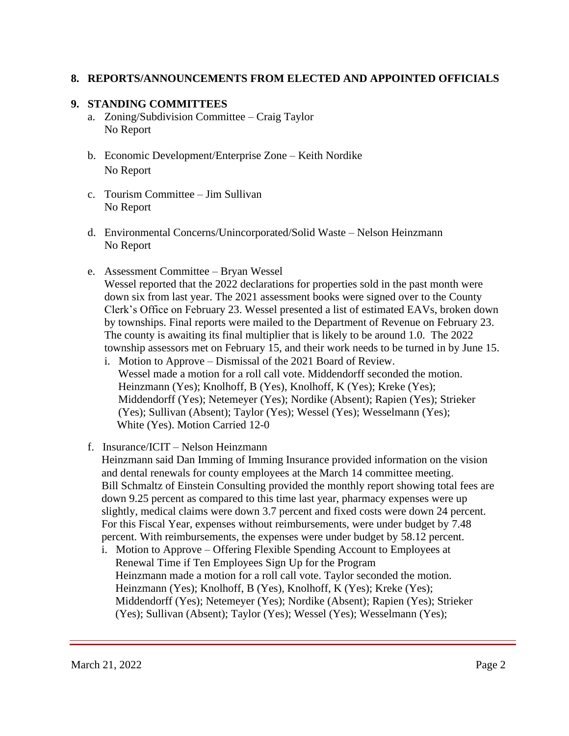#### **8. REPORTS/ANNOUNCEMENTS FROM ELECTED AND APPOINTED OFFICIALS**

#### **9. STANDING COMMITTEES**

- a. Zoning/Subdivision Committee Craig Taylor No Report
- b. Economic Development/Enterprise Zone Keith Nordike No Report
- c. Tourism Committee Jim Sullivan No Report
- d. Environmental Concerns/Unincorporated/Solid Waste Nelson Heinzmann No Report
- e. Assessment Committee Bryan Wessel Wessel reported that the 2022 declarations for properties sold in the past month were down six from last year. The 2021 assessment books were signed over to the County Clerk's Office on February 23. Wessel presented a list of estimated EAVs, broken down by townships. Final reports were mailed to the Department of Revenue on February 23. The county is awaiting its final multiplier that is likely to be around 1.0. The 2022 township assessors met on February 15, and their work needs to be turned in by June 15.
	- i. Motion to Approve Dismissal of the 2021 Board of Review. Wessel made a motion for a roll call vote. Middendorff seconded the motion. Heinzmann (Yes); Knolhoff, B (Yes), Knolhoff, K (Yes); Kreke (Yes); Middendorff (Yes); Netemeyer (Yes); Nordike (Absent); Rapien (Yes); Strieker (Yes); Sullivan (Absent); Taylor (Yes); Wessel (Yes); Wesselmann (Yes); White (Yes). Motion Carried 12-0
- f. Insurance/ICIT Nelson Heinzmann

 Heinzmann said Dan Imming of Imming Insurance provided information on the vision and dental renewals for county employees at the March 14 committee meeting. Bill Schmaltz of Einstein Consulting provided the monthly report showing total fees are down 9.25 percent as compared to this time last year, pharmacy expenses were up slightly, medical claims were down 3.7 percent and fixed costs were down 24 percent. For this Fiscal Year, expenses without reimbursements, were under budget by 7.48 percent. With reimbursements, the expenses were under budget by 58.12 percent.

 i. Motion to Approve – Offering Flexible Spending Account to Employees at Renewal Time if Ten Employees Sign Up for the Program Heinzmann made a motion for a roll call vote. Taylor seconded the motion. Heinzmann (Yes); Knolhoff, B (Yes), Knolhoff, K (Yes); Kreke (Yes); Middendorff (Yes); Netemeyer (Yes); Nordike (Absent); Rapien (Yes); Strieker (Yes); Sullivan (Absent); Taylor (Yes); Wessel (Yes); Wesselmann (Yes);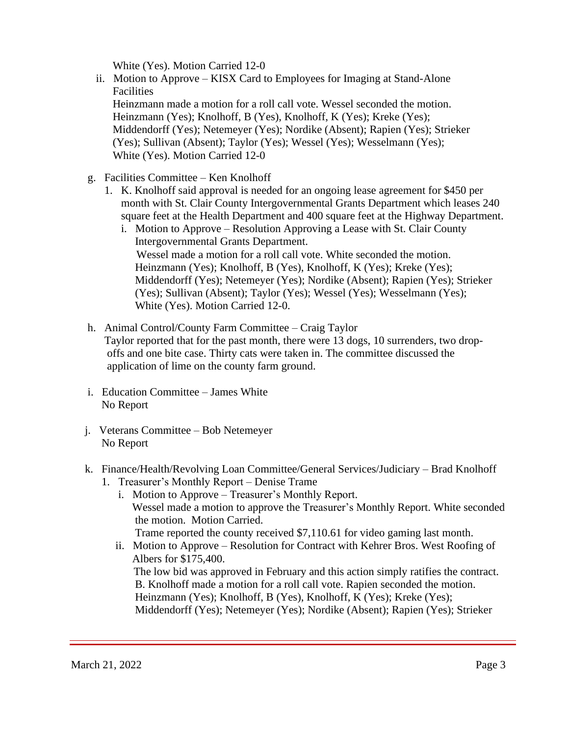White (Yes). Motion Carried 12-0

- ii. Motion to Approve KISX Card to Employees for Imaging at Stand-Alone **Facilities**  Heinzmann made a motion for a roll call vote. Wessel seconded the motion. Heinzmann (Yes); Knolhoff, B (Yes), Knolhoff, K (Yes); Kreke (Yes); Middendorff (Yes); Netemeyer (Yes); Nordike (Absent); Rapien (Yes); Strieker (Yes); Sullivan (Absent); Taylor (Yes); Wessel (Yes); Wesselmann (Yes); White (Yes). Motion Carried 12-0
- g. Facilities Committee Ken Knolhoff
	- 1. K. Knolhoff said approval is needed for an ongoing lease agreement for \$450 per month with St. Clair County Intergovernmental Grants Department which leases 240 square feet at the Health Department and 400 square feet at the Highway Department.
		- i. Motion to Approve Resolution Approving a Lease with St. Clair County Intergovernmental Grants Department. Wessel made a motion for a roll call vote. White seconded the motion. Heinzmann (Yes); Knolhoff, B (Yes), Knolhoff, K (Yes); Kreke (Yes); Middendorff (Yes); Netemeyer (Yes); Nordike (Absent); Rapien (Yes); Strieker (Yes); Sullivan (Absent); Taylor (Yes); Wessel (Yes); Wesselmann (Yes); White (Yes). Motion Carried 12-0.
- h. Animal Control/County Farm Committee Craig Taylor Taylor reported that for the past month, there were 13 dogs, 10 surrenders, two drop offs and one bite case. Thirty cats were taken in. The committee discussed the application of lime on the county farm ground.
- i. Education Committee James White No Report
- j. Veterans Committee Bob Netemeyer No Report
- k. Finance/Health/Revolving Loan Committee/General Services/Judiciary Brad Knolhoff
	- 1. Treasurer's Monthly Report Denise Trame
		- i. Motion to Approve Treasurer's Monthly Report. Wessel made a motion to approve the Treasurer's Monthly Report. White seconded the motion. Motion Carried. Trame reported the county received \$7,110.61 for video gaming last month.
		- ii. Motion to Approve Resolution for Contract with Kehrer Bros. West Roofing of Albers for \$175,400. The low bid was approved in February and this action simply ratifies the contract. B. Knolhoff made a motion for a roll call vote. Rapien seconded the motion. Heinzmann (Yes); Knolhoff, B (Yes), Knolhoff, K (Yes); Kreke (Yes); Middendorff (Yes); Netemeyer (Yes); Nordike (Absent); Rapien (Yes); Strieker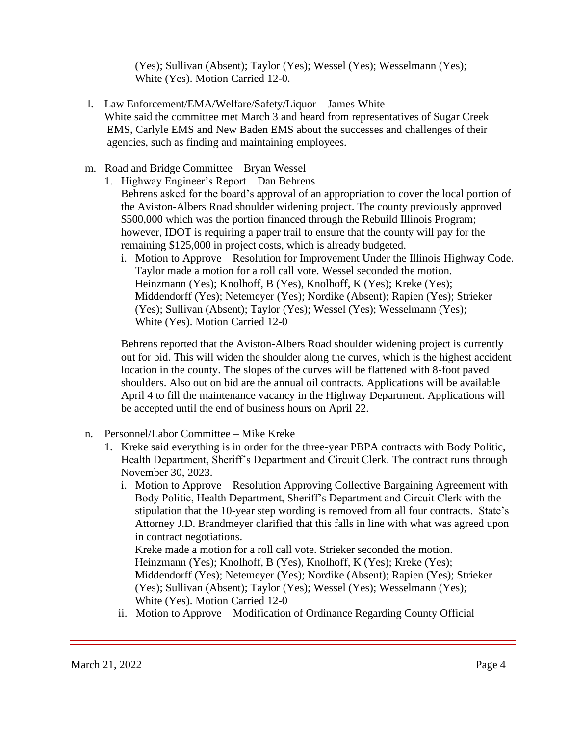(Yes); Sullivan (Absent); Taylor (Yes); Wessel (Yes); Wesselmann (Yes); White (Yes). Motion Carried 12-0.

- l. Law Enforcement/EMA/Welfare/Safety/Liquor James White White said the committee met March 3 and heard from representatives of Sugar Creek EMS, Carlyle EMS and New Baden EMS about the successes and challenges of their agencies, such as finding and maintaining employees.
- m. Road and Bridge Committee Bryan Wessel
	- 1. Highway Engineer's Report Dan Behrens Behrens asked for the board's approval of an appropriation to cover the local portion of the Aviston-Albers Road shoulder widening project. The county previously approved \$500,000 which was the portion financed through the Rebuild Illinois Program; however, IDOT is requiring a paper trail to ensure that the county will pay for the remaining \$125,000 in project costs, which is already budgeted.
		- i. Motion to Approve Resolution for Improvement Under the Illinois Highway Code. Taylor made a motion for a roll call vote. Wessel seconded the motion. Heinzmann (Yes); Knolhoff, B (Yes), Knolhoff, K (Yes); Kreke (Yes); Middendorff (Yes); Netemeyer (Yes); Nordike (Absent); Rapien (Yes); Strieker (Yes); Sullivan (Absent); Taylor (Yes); Wessel (Yes); Wesselmann (Yes); White (Yes). Motion Carried 12-0

Behrens reported that the Aviston-Albers Road shoulder widening project is currently out for bid. This will widen the shoulder along the curves, which is the highest accident location in the county. The slopes of the curves will be flattened with 8-foot paved shoulders. Also out on bid are the annual oil contracts. Applications will be available April 4 to fill the maintenance vacancy in the Highway Department. Applications will be accepted until the end of business hours on April 22.

- n. Personnel/Labor Committee Mike Kreke
	- 1. Kreke said everything is in order for the three-year PBPA contracts with Body Politic, Health Department, Sheriff's Department and Circuit Clerk. The contract runs through November 30, 2023.
		- i. Motion to Approve Resolution Approving Collective Bargaining Agreement with Body Politic, Health Department, Sheriff's Department and Circuit Clerk with the stipulation that the 10-year step wording is removed from all four contracts. State's Attorney J.D. Brandmeyer clarified that this falls in line with what was agreed upon in contract negotiations.

 Kreke made a motion for a roll call vote. Strieker seconded the motion. Heinzmann (Yes); Knolhoff, B (Yes), Knolhoff, K (Yes); Kreke (Yes); Middendorff (Yes); Netemeyer (Yes); Nordike (Absent); Rapien (Yes); Strieker (Yes); Sullivan (Absent); Taylor (Yes); Wessel (Yes); Wesselmann (Yes); White (Yes). Motion Carried 12-0

ii. Motion to Approve – Modification of Ordinance Regarding County Official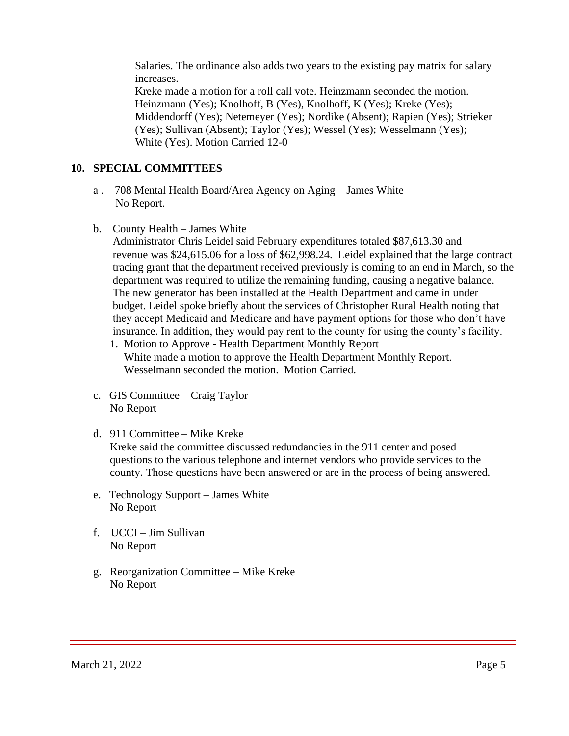Salaries. The ordinance also adds two years to the existing pay matrix for salary increases.

 Kreke made a motion for a roll call vote. Heinzmann seconded the motion. Heinzmann (Yes); Knolhoff, B (Yes), Knolhoff, K (Yes); Kreke (Yes); Middendorff (Yes); Netemeyer (Yes); Nordike (Absent); Rapien (Yes); Strieker (Yes); Sullivan (Absent); Taylor (Yes); Wessel (Yes); Wesselmann (Yes); White (Yes). Motion Carried 12-0

#### **10. SPECIAL COMMITTEES**

- a . 708 Mental Health Board/Area Agency on Aging James White No Report.
- b. County Health James White

 Administrator Chris Leidel said February expenditures totaled \$87,613.30 and revenue was \$24,615.06 for a loss of \$62,998.24. Leidel explained that the large contract tracing grant that the department received previously is coming to an end in March, so the department was required to utilize the remaining funding, causing a negative balance. The new generator has been installed at the Health Department and came in under budget. Leidel spoke briefly about the services of Christopher Rural Health noting that they accept Medicaid and Medicare and have payment options for those who don't have insurance. In addition, they would pay rent to the county for using the county's facility.

- 1. Motion to Approve Health Department Monthly Report White made a motion to approve the Health Department Monthly Report. Wesselmann seconded the motion. Motion Carried.
- c. GIS Committee Craig Taylor No Report
- d. 911 Committee Mike Kreke

 Kreke said the committee discussed redundancies in the 911 center and posed questions to the various telephone and internet vendors who provide services to the county. Those questions have been answered or are in the process of being answered.

- e. Technology Support James White No Report
- f. UCCI Jim Sullivan No Report
- g. Reorganization Committee Mike Kreke No Report